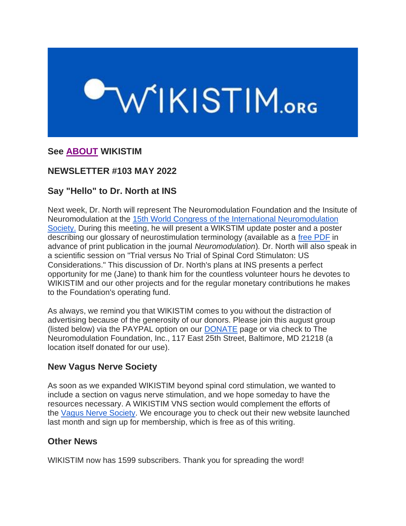# WIKISTIM.org

# **See [ABOUT](https://www.wikistim.org/?nltr=NDc7MjUxO2h0dHA6Ly93d3cud2lraXN0aW0ub3JnL2Fib3V0Lzs7NTk2ZGNmOTJjM2E4NDM1MDdiMDhlM2ZmZmEzYjY2NjQ%3D) WIKISTIM**

# **NEWSLETTER #103 MAY 2022**

# **Say "Hello" to Dr. North at INS**

Next week, Dr. North will represent The Neuromodulation Foundation and the Insitute of Neuromodulation at the 15th World Congress of the [International Neuromodulation](https://www.wikistim.org/?nltr=NDc7MjUxO2h0dHBzOi8vaW5zLWNvbmdyZXNzLmNvbS87OzFkNTA1ZDIyNTI5OTJlNTA5NzRhYjliMDEzNzRlNDI1)  [Society.](https://www.wikistim.org/?nltr=NDc7MjUxO2h0dHBzOi8vaW5zLWNvbmdyZXNzLmNvbS87OzFkNTA1ZDIyNTI5OTJlNTA5NzRhYjliMDEzNzRlNDI1) During this meeting, he will present a WIKSTIM update poster and a poster describing our glossary of neurostimulation terminology (available as a [free PDF](https://www.wikistim.org/?nltr=NDc7MjUxO2h0dHBzOi8vd3d3Lm5ldXJvbW9kdWxhdGlvbmpvdXJuYWwub3JnL2FjdGlvbi9zaG93UGRmP3BpaT1TMTA5NC03MTU5JTI4MjElMjkwNjE4NS03Ozs1M2UxOGEyNGUxZjdmOTliNWJjNDk0NDBkZWY3NmIxMw%3D%3D) in advance of print publication in the journal *Neuromodulation*)*.* Dr. North will also speak in a scientific session on "Trial versus No Trial of Spinal Cord Stimulaton: US Considerations." This discussion of Dr. North's plans at INS presents a perfect opportunity for me (Jane) to thank him for the countless volunteer hours he devotes to WIKISTIM and our other projects and for the regular monetary contributions he makes to the Foundation's operating fund.

As always, we remind you that WIKISTIM comes to you without the distraction of advertising because of the generosity of our donors. Please join this august group (listed below) via the PAYPAL option on our [DONATE](https://www.wikistim.org/?nltr=NDc7MjUxO2h0dHBzOi8vd3d3Lndpa2lzdGltLm9yZy9kb25hdGUvOztjZWQxYTBlNGU0OWQ4NTUwN2I1YmI1MjE0YWFmNTQ1NA%3D%3D) page or via check to The Neuromodulation Foundation, Inc., 117 East 25th Street, Baltimore, MD 21218 (a location itself donated for our use).

# **New Vagus Nerve Society**

As soon as we expanded WIKISTIM beyond spinal cord stimulation, we wanted to include a section on vagus nerve stimulation, and we hope someday to have the resources necessary. A WIKISTIM VNS section would complement the efforts of the [Vagus Nerve Society.](https://www.wikistim.org/?nltr=NDc7MjUxO2h0dHBzOi8vd3d3LnZuc29jaWV0eS5vcmcvOzs4YzJmZjcyNDA2YmNhZThiOWYyNjQ4YWFmOGFjMjY1Yg%3D%3D) We encourage you to check out their new website launched last month and sign up for membership, which is free as of this writing.

# **Other News**

WIKISTIM now has 1599 subscribers. Thank you for spreading the word!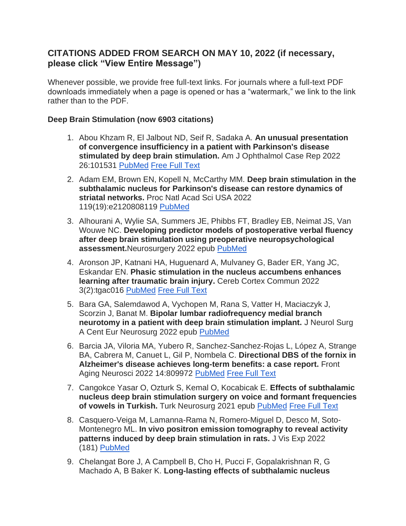# **CITATIONS ADDED FROM SEARCH ON MAY 10, 2022 (if necessary, please click "View Entire Message")**

Whenever possible, we provide free full-text links. For journals where a full-text PDF downloads immediately when a page is opened or has a "watermark," we link to the link rather than to the PDF.

### **Deep Brain Stimulation (now 6903 citations)**

- 1. Abou Khzam R, El Jalbout ND, Seif R, Sadaka A. **An unusual presentation of convergence insufficiency in a patient with Parkinson's disease stimulated by deep brain stimulation.** Am J Ophthalmol Case Rep 2022 26:101531 [PubMed](https://www.wikistim.org/?nltr=NDc7MjUxO2h0dHBzOi8vcHVibWVkLm5jYmkubmxtLm5paC5nb3YvMzU1MDkyODU7O2QxZTI4OWI2ZmNjNTc2MDBhZmM1MDI5ZjdmZjYzMGQx) [Free Full Text](https://www.wikistim.org/?nltr=NDc7MjUxO2h0dHBzOi8vd3d3Lm5jYmkubmxtLm5paC5nb3YvcG1jL2FydGljbGVzL1BNQzkwNTg1ODUvOzthMDc0OTQ3MDE0NjFlMTVjNTQ0MTdmMjA0ZjNiYTUxMw%3D%3D)
- 2. Adam EM, Brown EN, Kopell N, McCarthy MM. **Deep brain stimulation in the subthalamic nucleus for Parkinson's disease can restore dynamics of striatal networks.** Proc Natl Acad Sci USA 2022 119(19):e2120808119 [PubMed](https://www.wikistim.org/?nltr=NDc7MjUxO2h0dHBzOi8vcHVibWVkLm5jYmkubmxtLm5paC5nb3YvMzU1MDAxMTI7OzIwMjc1YWU5ODk1NTVlZTgyZjZkZDdmMWEzZGFlYmJk)
- 3. Alhourani A, Wylie SA, Summers JE, Phibbs FT, Bradley EB, Neimat JS, Van Wouwe NC. **Developing predictor models of postoperative verbal fluency after deep brain stimulation using preoperative neuropsychological assessment.**Neurosurgery 2022 epub [PubMed](https://www.wikistim.org/?nltr=NDc7MjUxO2h0dHBzOi8vcHVibWVkLm5jYmkubmxtLm5paC5nb3YvMzU1MDY5NTg7O2QwZmI3YTJiOTcyNGRmODM0MzUzMWI0YWY4ZmZlMmZj)
- 4. Aronson JP, Katnani HA, Huguenard A, Mulvaney G, Bader ER, Yang JC, Eskandar EN. **Phasic stimulation in the nucleus accumbens enhances learning after traumatic brain injury.** Cereb Cortex Commun 2022 3(2):tgac016 [PubMed](https://www.wikistim.org/?nltr=NDc7MjUxO2h0dHBzOi8vcHVibWVkLm5jYmkubmxtLm5paC5nb3YvMzU1Mjk1MTk7O2JjZDZiOTNmYjU3MTU0MjE2OTEyZjg2OThkOGJjZTFl) [Free Full Text](https://www.wikistim.org/?nltr=NDc7MjUxO2h0dHBzOi8vd3d3Lm5jYmkubmxtLm5paC5nb3YvcG1jL2FydGljbGVzL1BNQzkwNzAzNTAvcGRmL3RnYWMwMTYucGRmOzthMzBmNDAyMzNmODk5NTUyNzM4NzI2NDc5YTY1ODNiYg%3D%3D)
- 5. Bara GA, Salemdawod A, Vychopen M, Rana S, Vatter H, Maciaczyk J, Scorzin J, Banat M. **Bipolar lumbar radiofrequency medial branch neurotomy in a patient with deep brain stimulation implant.** J Neurol Surg A Cent Eur Neurosurg 2022 epub [PubMed](https://www.wikistim.org/?nltr=NDc7MjUxO2h0dHBzOi8vcHVibWVkLm5jYmkubmxtLm5paC5nb3YvMzU0Mzk4MjU7OzQ2YzA5MmNkMTc1NWNmOTUwNDI2N2Y1YmJmOTEwOWZj)
- 6. Barcia JA, Viloria MA, Yubero R, Sanchez-Sanchez-Rojas L, López A, Strange BA, Cabrera M, Canuet L, Gil P, Nombela C. **Directional DBS of the fornix in Alzheimer's disease achieves long-term benefits: a case report.** Front Aging Neurosci 2022 14:809972 [PubMed](https://www.wikistim.org/?nltr=NDc7MjUxO2h0dHBzOi8vcHVibWVkLm5jYmkubmxtLm5paC5nb3YvMzU0MzE4OTU7O2RjMDcxZmJhYjNmY2Q0ODIwZjUyOWNhMTFjMjc2MTE3) [Free Full Text](https://www.wikistim.org/?nltr=NDc7MjUxO2h0dHBzOi8vd3d3Lm5jYmkubmxtLm5paC5nb3YvcG1jL2FydGljbGVzL1BNQzkwMTEzMzUvcGRmL2ZuYWdpLTE0LTgwOTk3Mi5wZGY7OzQyMDVmN2EyYmQ3YjVmY2ZmYWMyY2EwMWU0OWQwZmM5)
- 7. Cangokce Yasar O, Ozturk S, Kemal O, Kocabicak E. **Effects of subthalamic nucleus deep brain stimulation surgery on voice and formant frequencies of vowels in Turkish.** Turk Neurosurg 2021 epub [PubMed](https://www.wikistim.org/?nltr=NDc7MjUxO2h0dHBzOi8vcHVibWVkLm5jYmkubmxtLm5paC5nb3YvMzU0MTYyNjg7O2NmMjg3NGQ0YjFiN2E0ZWVhZGU0ODMwYTVmNGZkYzVk) [Free Full Text](https://www.wikistim.org/?nltr=NDc7MjUxO2h0dHA6Ly93d3cudHVya2lzaG5ldXJvc3VyZ2VyeS5vcmcudHIvcGRmL0pUTkVQVUJfMzYxMzRfb25saW5lLnBkZjs7ODQ1ZDQ4NGVhMDZjNjNiMDk3Mjg4ZDE1MzlhMjJiYjI%3D)
- 8. Casquero-Veiga M, Lamanna-Rama N, Romero-Miguel D, Desco M, Soto-Montenegro ML. **In vivo positron emission tomography to reveal activity patterns induced by deep brain stimulation in rats.** J Vis Exp 2022 (181) [PubMed](https://www.wikistim.org/?nltr=NDc7MjUxO2h0dHBzOi8vcHVibWVkLm5jYmkubmxtLm5paC5nb3YvMzU0MDQzNDQ7O2RkMTI3OWEwZTVmMjg1ODgwZGVmNWUxYjIyZTZlMGU0)
- 9. Chelangat Bore J, A Campbell B, Cho H, Pucci F, Gopalakrishnan R, G Machado A, B Baker K. **Long-lasting effects of subthalamic nucleus**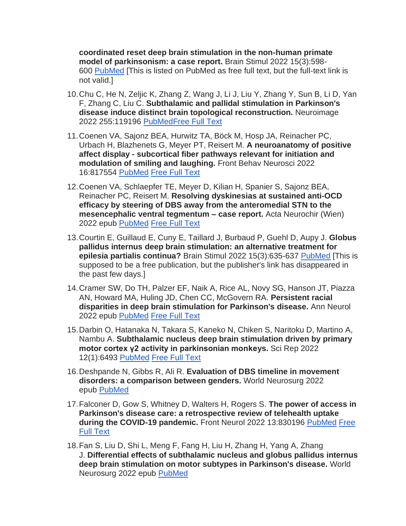**coordinated reset deep brain stimulation in the non-human primate model of parkinsonism: a case report.** Brain Stimul 2022 15(3):598- 600 [PubMed](https://www.wikistim.org/?nltr=NDc7MjUxO2h0dHBzOi8vcHVibWVkLm5jYmkubmxtLm5paC5nb3YvMzU0MDUzMjY7OzM1OGFhNzcxMTFlZjQwM2I5MjI5YmZkMDc0NzkxZGYz) [This is listed on PubMed as free full text, but the full-text link is not valid.]

- 10.Chu C, He N, Zeljic K, Zhang Z, Wang J, Li J, Liu Y, Zhang Y, Sun B, Li D, Yan F, Zhang C, Liu C. **Subthalamic and pallidal stimulation in Parkinson's disease induce distinct brain topological reconstruction.** Neuroimage 2022 255:119196 [PubMed](https://www.wikistim.org/?nltr=NDc7MjUxO2h0dHBzOi8vcHVibWVkLm5jYmkubmxtLm5paC5nb3YvMzU0MTM0NDY7O2I4NWMyNzJjMGViMjc4OThhNTE4ZDg1NTJmOGU2ZDMx)[Free Full Text](https://www.wikistim.org/?nltr=NDc7MjUxO2h0dHBzOi8vd3d3LnNjaWVuY2VkaXJlY3QuY29tL3NjaWVuY2UvYXJ0aWNsZS9waWkvUzEwNTM4MTE5MjIwMDMyMDI%2FdmlhJTNEaWh1Yjs7MWVlYmNjNTFhNWUyMmU2YzhkNzA5NmRmMzczN2YyMWU%3D)
- 11.Coenen VA, Sajonz BEA, Hurwitz TA, Böck M, Hosp JA, Reinacher PC, Urbach H, Blazhenets G, Meyer PT, Reisert M. **A neuroanatomy of positive affect display - subcortical fiber pathways relevant for initiation and modulation of smiling and laughing.** Front Behav Neurosci 2022 16:817554 [PubMed](https://www.wikistim.org/?nltr=NDc7MjUxO2h0dHBzOi8vcHVibWVkLm5jYmkubmxtLm5paC5nb3YvMzU0NjQxNDU7O2YzYTA4MjU4MDhmMWM2N2RiZTg4OWVkZDNkYmQ4MmU5) [Free Full Text](https://www.wikistim.org/?nltr=NDc7MjUxO2h0dHBzOi8vd3d3Lm5jYmkubmxtLm5paC5nb3YvcG1jL2FydGljbGVzL1BNQzkwMjI2MjMvcGRmL2ZuYmVoLTE2LTgxNzU1NC5wZGY7OzA1MzAyZDBiMjFiZjc0Mjg0NjVhYTBjYTBiN2NmNTNm)
- 12.Coenen VA, Schlaepfer TE, Meyer D, Kilian H, Spanier S, Sajonz BEA, Reinacher PC, Reisert M. **Resolving dyskinesias at sustained anti-OCD efficacy by steering of DBS away from the anteromedial STN to the mesencephalic ventral tegmentum – case report.** Acta Neurochir (Wien) 2022 epub [PubMed](https://www.wikistim.org/?nltr=NDc7MjUxO2h0dHBzOi8vcHVibWVkLm5jYmkubmxtLm5paC5nb3YvMzU0OTk1NzQ7Ozg3MWU0M2FjNmE2MDlhMWYwYWM4MWNmZTQ0NTQ4ZGJk) [Free Full Text](https://www.wikistim.org/?nltr=NDc7MjUxO2h0dHBzOi8vbGluay5zcHJpbmdlci5jb20vY29udGVudC9wZGYvMTAuMTAwNy9zMDA3MDEtMDIyLTA1MjA2LXcucGRmOzswNjliZTQxMGVlN2JlZGVmYjM3YTBmYzI0YmFiOTg5Yw%3D%3D)
- 13.Courtin E, Guillaud E, Cuny E, Taillard J, Burbaud P, Guehl D, Aupy J. **Globus pallidus internus deep brain stimulation: an alternative treatment for epilesia partialis continua?** Brain Stimul 2022 15(3):635-637 [PubMed](https://www.wikistim.org/?nltr=NDc7MjUxO2h0dHBzOi8vcHVibWVkLm5jYmkubmxtLm5paC5nb3YvMzU0NDMyMjM7OzBiN2FhMGUyODQyNDAwNDBkMmZhYTZkYTM2MDU3ZTBm) [This is supposed to be a free publication, but the publisher's link has disappeared in the past few days.]
- 14.Cramer SW, Do TH, Palzer EF, Naik A, Rice AL, Novy SG, Hanson JT, Piazza AN, Howard MA, Huling JD, Chen CC, McGovern RA. **Persistent racial disparities in deep brain stimulation for Parkinson's disease.** Ann Neurol 2022 epub [PubMed](https://www.wikistim.org/?nltr=NDc7MjUxO2h0dHBzOi8vcHVibWVkLm5jYmkubmxtLm5paC5nb3YvMzU0Mzk4NDg7OzgzYmY0YWZiYzFhZjAxNzZiZTZjYmNiNjEwN2Q3NmIy) [Free Full Text](https://www.wikistim.org/?nltr=NDc7MjUxO2h0dHBzOi8vb25saW5lbGlicmFyeS53aWxleS5jb20vZG9pL2VwZGYvMTAuMTAwMi9hbmEuMjYzNzg7OzcxOGIzZWEwNmI0NjFhY2Y5Mzc0MTVhOTJkNWEyYmNh)
- 15.Darbin O, Hatanaka N, Takara S, Kaneko N, Chiken S, Naritoku D, Martino A, Nambu A. **Subthalamic nucleus deep brain stimulation driven by primary motor cortex γ2 activity in parkinsonian monkeys.** Sci Rep 2022 12(1):6493 [PubMed](https://www.wikistim.org/?nltr=NDc7MjUxO2h0dHBzOi8vcHVibWVkLm5jYmkubmxtLm5paC5nb3YvMzU0NDQyNDU7OzNkY2ZlYmQ1YjQxYmQ4ZTlhM2UxNjA5NjQ3MDU3NDY0) [Free Full Text](https://www.wikistim.org/?nltr=NDc7MjUxO2h0dHBzOi8vd3d3Lm5jYmkubmxtLm5paC5nb3YvcG1jL2FydGljbGVzL1BNQzkwMjEyODcvcGRmLzQxNTk4XzIwMjJfQXJ0aWNsZV8xMDEzMC5wZGY7OzYwMGQxMDU3YmQ3YTk2YmNmYzZkMmI1MDY3ZjAwODEy)
- 16.Deshpande N, Gibbs R, Ali R. **Evaluation of DBS timeline in movement disorders: a comparison between genders.** World Neurosurg 2022 epub [PubMed](https://www.wikistim.org/?nltr=NDc7MjUxO2h0dHBzOi8vcHVibWVkLm5jYmkubmxtLm5paC5nb3YvMzU0OTA4ODY7OzE4MDRjMjViZTU2Y2Q4ZDVhMzk2MmUwOGYxN2QyMjRm)
- 17.Falconer D, Gow S, Whitney D, Walters H, Rogers S. **The power of access in Parkinson's disease care: a retrospective review of telehealth uptake during the COVID-19 pandemic.** Front Neurol 2022 13:830196 [PubMed](https://www.wikistim.org/?nltr=NDc7MjUxO2h0dHBzOi8vcHVibWVkLm5jYmkubmxtLm5paC5nb3YvMzU0NjMxNDU7OzNlNTNiNjI4MjQ4N2UwOWUwMzZhNjM4NmM4OThiNGVi) [Free](https://www.wikistim.org/?nltr=NDc7MjUxO2h0dHBzOi8vd3d3Lm5jYmkubmxtLm5paC5nb3YvcG1jL2FydGljbGVzL1BNQzkwMjE3NDYvcGRmL2ZuZXVyLTEzLTgzMDE5Ni5wZGY7Ozg4YjUyZWI4NDkyZGI4N2U4MGJlNzBiMDk3MjhmODJj)  [Full Text](https://www.wikistim.org/?nltr=NDc7MjUxO2h0dHBzOi8vd3d3Lm5jYmkubmxtLm5paC5nb3YvcG1jL2FydGljbGVzL1BNQzkwMjE3NDYvcGRmL2ZuZXVyLTEzLTgzMDE5Ni5wZGY7Ozg4YjUyZWI4NDkyZGI4N2U4MGJlNzBiMDk3MjhmODJj)
- 18.Fan S, Liu D, Shi L, Meng F, Fang H, Liu H, Zhang H, Yang A, Zhang J. **Differential effects of subthalamic nucleus and globus pallidus internus deep brain stimulation on motor subtypes in Parkinson's disease.** World Neurosurg 2022 epub [PubMed](https://www.wikistim.org/?nltr=NDc7MjUxO2h0dHBzOi8vcHVibWVkLm5jYmkubmxtLm5paC5nb3YvMzU0ODk1OTg7O2IzNDc1MDA5ZTJjYzVlNGJhMDA1YzA2ZGIwMmRjMmQ2)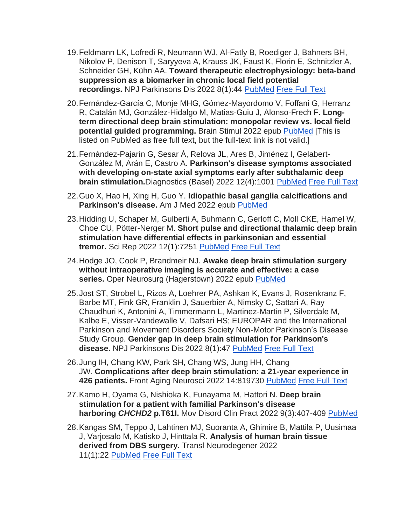- 19.Feldmann LK, Lofredi R, Neumann WJ, Al-Fatly B, Roediger J, Bahners BH, Nikolov P, Denison T, Saryyeva A, Krauss JK, Faust K, Florin E, Schnitzler A, Schneider GH, Kühn AA. **Toward therapeutic electrophysiology: beta-band suppression as a biomarker in chronic local field potential recordings.** NPJ Parkinsons Dis 2022 8(1):44 [PubMed](https://www.wikistim.org/?nltr=NDc7MjUxO2h0dHBzOi8vcHVibWVkLm5jYmkubmxtLm5paC5nb3YvMzU0NDA1NzE7OzhlYjQxZjFlNzU3OWM0ZmExMWFiNmIzYTFhNTQwYTBl) [Free Full Text](https://www.wikistim.org/?nltr=NDc7MjUxO2h0dHBzOi8vd3d3Lm5jYmkubmxtLm5paC5nb3YvcG1jL2FydGljbGVzL1BNQzkwMTg5MTIvcGRmLzQxNTMxXzIwMjJfQXJ0aWNsZV8zMDEucGRmOzszN2RkOTFiYTdlNjAzY2U1ZTMxYjVhYWMzNTA2ZWFjMw%3D%3D)
- 20.Fernández-García C, Monje MHG, Gómez-Mayordomo V, Foffani G, Herranz R, Catalán MJ, González-Hidalgo M, Matias-Guiu J, Alonso-Frech F. **Longterm directional deep brain stimulation: monopolar review vs. local field potential guided programming.** Brain Stimul 2022 epub [PubMed](https://www.wikistim.org/?nltr=NDc7MjUxO2h0dHBzOi8vcHVibWVkLm5jYmkubmxtLm5paC5nb3YvMzU0OTA5NzE7O2JlMjVlYmE4OTNhZTU0YmI3YTAyZjJjOTNjNzBmYWM1) [This is listed on PubMed as free full text, but the full-text link is not valid.]
- 21.Fernández-Pajarín G, Sesar Á, Relova JL, Ares B, Jiménez I, Gelabert-González M, Arán E, Castro A. **Parkinson's disease symptoms associated with developing on-state axial symptoms early after subthalamic deep brain stimulation.**Diagnostics (Basel) 2022 12(4):1001 [PubMed](https://www.wikistim.org/?nltr=NDc7MjUxO2h0dHBzOi8vcHVibWVkLm5jYmkubmxtLm5paC5nb3YvMzU0NTQwNDk7OzdhYTJmNzgzYjMyMjBhMWFlODJiMjljMmQ3Y2NmOTM3) [Free Full Text](https://www.wikistim.org/?nltr=NDc7MjUxO2h0dHBzOi8vd3d3Lm5jYmkubmxtLm5paC5nb3YvcG1jL2FydGljbGVzL1BNQzkwMjc1OTEvcGRmL2RpYWdub3N0aWNzLTEyLTAxMDAxLnBkZjs7ZDE5MGE4NjE1MWRjNTg5ZTg2NjM5YzMzMWJlMDhlOWI%3D)
- 22.Guo X, Hao H, Xing H, Guo Y. **Idiopathic basal ganglia calcifications and Parkinson's disease.** Am J Med 2022 epub [PubMed](https://www.wikistim.org/?nltr=NDc7MjUxO2h0dHBzOi8vcHVibWVkLm5jYmkubmxtLm5paC5nb3YvMzU0NzIzOTI7OzM0NTRjYjZjYjNkMWZlOGUwZTA1N2ZlZmFmOGJlZTQ5)
- 23.Hidding U, Schaper M, Gulberti A, Buhmann C, Gerloff C, Moll CKE, Hamel W, Choe CU, Pötter-Nerger M. **Short pulse and directional thalamic deep brain stimulation have differential effects in parkinsonian and essential tremor.** Sci Rep 2022 12(1):7251 [PubMed](https://www.wikistim.org/?nltr=NDc7MjUxO2h0dHBzOi8vcHVibWVkLm5jYmkubmxtLm5paC5nb3YvMzU1MDg2ODA7O2JiNDMwNmU5YzM0MWZjMWJlNGQ2NjA1YTZmYzY4Yjk0) [Free Full Text](https://www.wikistim.org/?nltr=NDc7MjUxO2h0dHBzOi8vd3d3Lm5jYmkubmxtLm5paC5nb3YvcG1jL2FydGljbGVzL1BNQzkwNjg3NjcvcGRmLzQxNTk4XzIwMjJfQXJ0aWNsZV8xMTI5MS5wZGY7Ozg0YjlkOTVjZGUxYjJhNTUyMWFjYmMwYjk4ZTc2MDM1)
- 24.Hodge JO, Cook P, Brandmeir NJ. **Awake deep brain stimulation surgery without intraoperative imaging is accurate and effective: a case series.** Oper Neurosurg (Hagerstown) 2022 epub [PubMed](https://www.wikistim.org/?nltr=NDc7MjUxO2h0dHBzOi8vcHVibWVkLm5jYmkubmxtLm5paC5nb3YvMzU0ODY4NzU7O2FiM2ZhOGY1MGYxMWMzYmZhMDM4YzAxZDAzYjAyOGUy)
- 25.Jost ST, Strobel L, Rizos A, Loehrer PA, Ashkan K, Evans J, Rosenkranz F, Barbe MT, Fink GR, Franklin J, Sauerbier A, Nimsky C, Sattari A, Ray Chaudhuri K, Antonini A, Timmermann L, Martinez-Martin P, Silverdale M, Kalbe E, Visser-Vandewalle V, Dafsari HS; EUROPAR and the International Parkinson and Movement Disorders Society Non-Motor Parkinson's Disease Study Group. **Gender gap in deep brain stimulation for Parkinson's disease.** NPJ Parkinsons Dis 2022 8(1):47 [PubMed](https://www.wikistim.org/?nltr=NDc7MjUxO2h0dHBzOi8vcHVibWVkLm5jYmkubmxtLm5paC5nb3YvMzU0NDQxODc7OzFlYzhjOTkyNzMxNTUwNDJmMmQ1YTBkZGFkOGEyMTBm) [Free Full Text](https://www.wikistim.org/?nltr=NDc7MjUxO2h0dHBzOi8vd3d3Lm5jYmkubmxtLm5paC5nb3YvcG1jL2FydGljbGVzL1BNQzkwMjEyODEvcGRmLzQxNTMxXzIwMjJfQXJ0aWNsZV8zMDUucGRmOzsxY2ViYjFiN2QyZTE4ZGM2MjJiNGI0NTM1MjA0NDUzMw%3D%3D)
- 26.Jung IH, Chang KW, Park SH, Chang WS, Jung HH, Chang JW. **Complications after deep brain stimulation: a 21-year experience in 426 patients.** Front Aging Neurosci 2022 14:819730 [PubMed](https://www.wikistim.org/?nltr=NDc7MjUxO2h0dHBzOi8vcHVibWVkLm5jYmkubmxtLm5paC5nb3YvMzU0NjI2OTU7OzFiMmNhZmM3MTA1OGE5ODFmMmY3MTA4YWRmMDFmZWZj) [Free Full Text](https://www.wikistim.org/?nltr=NDc7MjUxO2h0dHBzOi8vd3d3Lm5jYmkubmxtLm5paC5nb3YvcG1jL2FydGljbGVzL1BNQzkwMjI0NzIvcGRmL2ZuYWdpLTE0LTgxOTczMC5wZGY7O2UxN2ZiMWFlNTJkYjhhYjc4MTZhNzhlN2U2ZGI1YTkz)
- 27.Kamo H, Oyama G, Nishioka K, Funayama M, Hattori N. **Deep brain stimulation for a patient with familial Parkinson's disease harboring** *CHCHD2* **p.T61I.** Mov Disord Clin Pract 2022 9(3):407-409 [PubMed](https://www.wikistim.org/?nltr=NDc7MjUxO2h0dHBzOi8vcHVibWVkLm5jYmkubmxtLm5paC5nb3YvMzU0MDI2NTA7OzJlODVjMDZlN2NhNGQ1NzBmOTJmYmNlNjQ1MDU3N2E2)
- 28.Kangas SM, Teppo J, Lahtinen MJ, Suoranta A, Ghimire B, Mattila P, Uusimaa J, Varjosalo M, Katisko J, Hinttala R. **Analysis of human brain tissue derived from DBS surgery.** Transl Neurodegener 2022 11(1):22 [PubMed](https://www.wikistim.org/?nltr=NDc7MjUxO2h0dHBzOi8vcHVibWVkLm5jYmkubmxtLm5paC5nb3YvMzU0MTgxMDQ7OzUxYWNjNTg5ZDI2NDYwYWUwZDg4NzY2NGRlY2NkMWIy) [Free Full Text](https://www.wikistim.org/?nltr=NDc7MjUxO2h0dHBzOi8vd3d3Lm5jYmkubmxtLm5paC5nb3YvcG1jL2FydGljbGVzL1BNQzkwMDY0NTkvcGRmLzQwMDM1XzIwMjJfQXJ0aWNsZV8yOTcucGRmOzs0YzQyN2Q1M2ZiMzIyMWMwOTllZjIwNjAxNjY4YzM2Yg%3D%3D)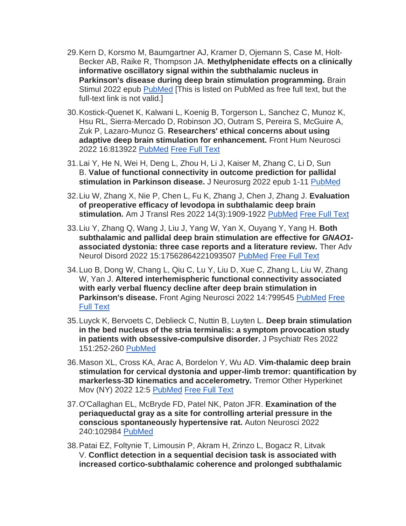- 29.Kern D, Korsmo M, Baumgartner AJ, Kramer D, Ojemann S, Case M, Holt-Becker AB, Raike R, Thompson JA. **Methylphenidate effects on a clinically informative oscillatory signal within the subthalamic nucleus in Parkinson's disease during deep brain stimulation programming.** Brain Stimul 2022 epub [PubMed](https://www.wikistim.org/?nltr=NDc7MjUxO2h0dHBzOi8vcHVibWVkLm5jYmkubmxtLm5paC5nb3YvMzU1MjY4MTc7OzhlMTJlYTFjMjhiM2UxZGFjNGVmNmNiYjAzODIzMzg1) [This is listed on PubMed as free full text, but the full-text link is not valid.]
- 30.Kostick-Quenet K, Kalwani L, Koenig B, Torgerson L, Sanchez C, Munoz K, Hsu RL, Sierra-Mercado D, Robinson JO, Outram S, Pereira S, McGuire A, Zuk P, Lazaro-Munoz G. **Researchers' ethical concerns about using adaptive deep brain stimulation for enhancement.** Front Hum Neurosci 2022 16:813922 [PubMed](https://www.wikistim.org/?nltr=NDc7MjUxO2h0dHBzOi8vcHVibWVkLm5jYmkubmxtLm5paC5nb3YvMzU0OTYwNzM7O2UwYjBkOWJiZWIyNTFkMGViZmUzOTkxMTE2YWRjNjlh) [Free Full Text](https://www.wikistim.org/?nltr=NDc7MjUxO2h0dHBzOi8vd3d3Lm5jYmkubmxtLm5paC5nb3YvcG1jL2FydGljbGVzL1BNQzkwNTAxNzIvcGRmL2ZuaHVtLTE2LTgxMzkyMi5wZGY7OzdiMTNiZDQwNzM3ZDMzYzZiMWQ0Y2ZkMDNjMGYyNGJk)
- 31.Lai Y, He N, Wei H, Deng L, Zhou H, Li J, Kaiser M, Zhang C, Li D, Sun B. **Value of functional connectivity in outcome prediction for pallidal stimulation in Parkinson disease.** J Neurosurg 2022 epub 1-11 [PubMed](https://www.wikistim.org/?nltr=NDc7MjUxO2h0dHBzOi8vcHVibWVkLm5jYmkubmxtLm5paC5nb3YvMzU1MjMyNTg7O2M3ZDU5MDRjYzBiZDg3MDg3Mzg1ZjI1MTVhMTRlOGM0)
- 32.Liu W, Zhang X, Nie P, Chen L, Fu K, Zhang J, Chen J, Zhang J. **Evaluation of preoperative efficacy of levodopa in subthalamic deep brain stimulation.** Am J Transl Res 2022 14(3):1909-1922 [PubMed](https://www.wikistim.org/?nltr=NDc7MjUxO2h0dHBzOi8vcHVibWVkLm5jYmkubmxtLm5paC5nb3YvMzU0MjI5NDI7O2ZlZmJmYTUzYjI4MTY4NmFjOTkwNTMwNGFiNjdhNDQx) [Free Full Text](https://www.wikistim.org/?nltr=NDc7MjUxO2h0dHBzOi8vd3d3Lm5jYmkubmxtLm5paC5nb3YvcG1jL2FydGljbGVzL1BNQzg5OTExMTAvcGRmL2FqdHIwMDE0LTE5MDkucGRmOzs4ODBiODhiMGY4ZmNjYzE2YmZiOGY5ZjQyM2NjMGEwNQ%3D%3D)
- 33.Liu Y, Zhang Q, Wang J, Liu J, Yang W, Yan X, Ouyang Y, Yang H. **Both subthalamic and pallidal deep brain stimulation are effective for** *GNAO1* **associated dystonia: three case reports and a literature review.** Ther Adv Neurol Disord 2022 15:17562864221093507 [PubMed](https://www.wikistim.org/?nltr=NDc7MjUxO2h0dHBzOi8vcHVibWVkLm5jYmkubmxtLm5paC5nb3YvMzU1MDk3NzA7OzcyY2Q4NWUwMzQzMjUyZjE4MzU0OWRmMjc1NWEwMWU3) [Free Full Text](https://www.wikistim.org/?nltr=NDc7MjUxO2h0dHBzOi8vd3d3Lm5jYmkubmxtLm5paC5nb3YvcG1jL2FydGljbGVzL1BNQzkwNTg0NjAvcGRmLzEwLjExNzdfMTc1NjI4NjQyMjEwOTM1MDcucGRmOzswNTYxNWE2NjdhOTI1YzUxNmU4YjY2YmVlODE0ZTE4Yg%3D%3D)
- 34.Luo B, Dong W, Chang L, Qiu C, Lu Y, Liu D, Xue C, Zhang L, Liu W, Zhang W, Yan J. **Altered interhemispheric functional connectivity associated with early verbal fluency decline after deep brain stimulation in Parkinson's disease.** Front Aging Neurosci 2022 14:799545 [PubMed](https://www.wikistim.org/?nltr=NDc7MjUxO2h0dHBzOi8vcHVibWVkLm5jYmkubmxtLm5paC5nb3YvMzU0MzE5MDQ7OzQzYjI1MjMzOWQ4NTdhZDFlYTNiMjY5YmE5YjA3OGY5) [Free](https://www.wikistim.org/?nltr=NDc7MjUxO2h0dHBzOi8vd3d3Lm5jYmkubmxtLm5paC5nb3YvcG1jL2FydGljbGVzL1BNQzkwMTEzMjgvcGRmL2ZuYWdpLTE0LTc5OTU0NS5wZGY7OzQ4MmRlMGU1OWJmOWUxZDIxY2M1MWY5N2QwMDZhY2M1)  [Full Text](https://www.wikistim.org/?nltr=NDc7MjUxO2h0dHBzOi8vd3d3Lm5jYmkubmxtLm5paC5nb3YvcG1jL2FydGljbGVzL1BNQzkwMTEzMjgvcGRmL2ZuYWdpLTE0LTc5OTU0NS5wZGY7OzQ4MmRlMGU1OWJmOWUxZDIxY2M1MWY5N2QwMDZhY2M1)
- 35.Luyck K, Bervoets C, Deblieck C, Nuttin B, Luyten L. **Deep brain stimulation in the bed nucleus of the stria terminalis: a symptom provocation study in patients with obsessive-compulsive disorder.** J Psychiatr Res 2022 151:252-260 [PubMed](https://www.wikistim.org/?nltr=NDc7MjUxO2h0dHBzOi8vcHVibWVkLm5jYmkubmxtLm5paC5nb3YvMzU1MTI2MTk7O2RlYmNlYjI0NDYxYzY3NDc2YWU5NjBhNDg3Yjc0ZThk)
- 36.Mason XL, Cross KA, Arac A, Bordelon Y, Wu AD. **Vim-thalamic deep brain stimulation for cervical dystonia and upper-limb tremor: quantification by markerless-3D kinematics and accelerometry.** Tremor Other Hyperkinet Mov (NY) 2022 12:5 [PubMed](https://www.wikistim.org/?nltr=NDc7MjUxO2h0dHBzOi8vcHVibWVkLm5jYmkubmxtLm5paC5nb3YvMzU0MzMxMDk7Ozk5N2Q2MmE0NDFlMmNkODZjZjAwZjhmMDMyYTk5ZmFi) [Free Full Text](https://www.wikistim.org/?nltr=NDc7MjUxO2h0dHBzOi8vd3d3Lm5jYmkubmxtLm5paC5nb3YvcG1jL2FydGljbGVzL1BNQzg5MTYwNTIvcGRmL3RvaG0tMTItMS02NzMucGRmOztlOTMxNjBlNmZmODhlNTA5YTc3MGVlNmUxODljYTljZQ%3D%3D)
- 37.O'Callaghan EL, McBryde FD, Patel NK, Paton JFR. **Examination of the periaqueductal gray as a site for controlling arterial pressure in the conscious spontaneously hypertensive rat.** Auton Neurosci 2022 240:102984 [PubMed](https://www.wikistim.org/?nltr=NDc7MjUxO2h0dHBzOi8vcHVibWVkLm5jYmkubmxtLm5paC5nb3YvMzU1MjYzNTQ7O2RiMjQ2YWM3NjdjNzY0NzdlOTJmMTA4Zjc1ZGY2YWJk)
- 38.Patai EZ, Foltynie T, Limousin P, Akram H, Zrinzo L, Bogacz R, Litvak V. **Conflict detection in a sequential decision task is associated with increased cortico-subthalamic coherence and prolonged subthalamic**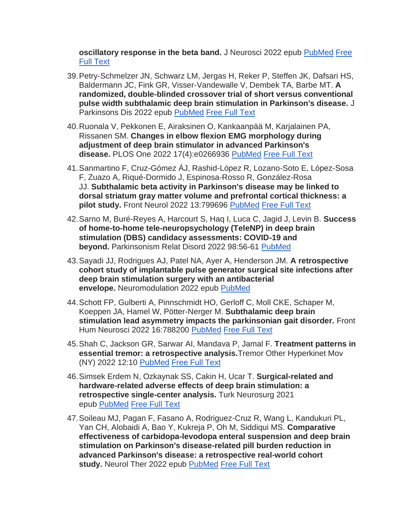**oscillatory response in the beta band.** J Neurosci 2022 epub [PubMed](https://www.wikistim.org/?nltr=NDc7MjUxO2h0dHBzOi8vcHVibWVkLm5jYmkubmxtLm5paC5nb3YvMzU1MDExNTM7OzI3N2JlMjdmMWZjNzJiZTRkODRjZjdjYjJmNmJiODQx) [Free](https://www.wikistim.org/?nltr=NDc7MjUxO2h0dHBzOi8vd3d3LmpuZXVyb3NjaS5vcmcvY29udGVudC9qbmV1cm8vZWFybHkvMjAyMi8wNC8yOS9KTkVVUk9TQ0kuMDU3Mi0yMS4yMDIyLmZ1bGwucGRmOztiYmUwNTBlNTY2NzE3NDJmMjUzNGExMDliZjQ5MzU3ZA%3D%3D)  [Full Text](https://www.wikistim.org/?nltr=NDc7MjUxO2h0dHBzOi8vd3d3LmpuZXVyb3NjaS5vcmcvY29udGVudC9qbmV1cm8vZWFybHkvMjAyMi8wNC8yOS9KTkVVUk9TQ0kuMDU3Mi0yMS4yMDIyLmZ1bGwucGRmOztiYmUwNTBlNTY2NzE3NDJmMjUzNGExMDliZjQ5MzU3ZA%3D%3D)

- 39.Petry-Schmelzer JN, Schwarz LM, Jergas H, Reker P, Steffen JK, Dafsari HS, Baldermann JC, Fink GR, Visser-Vandewalle V, Dembek TA, Barbe MT. **A randomized, double-blinded crossover trial of short versus conventional pulse width subthalamic deep brain stimulation in Parkinson's disease.** J Parkinsons Dis 2022 epub [PubMed](https://www.wikistim.org/?nltr=NDc7MjUxO2h0dHBzOi8vcHVibWVkLm5jYmkubmxtLm5paC5nb3YvMzU0OTE3OTc7OzcwMzEwNTA3MTE5MWViZWM4OTc4ZDc3YTMxODU2NjNi) [Free Full Text](https://www.wikistim.org/?nltr=NDc7MjUxO2h0dHBzOi8vY29udGVudC5pb3NwcmVzcy5jb20vZG93bmxvYWQvam91cm5hbC1vZi1wYXJraW5zb25zLWRpc2Vhc2UvanBkMjEzMTE5P2lkPWpvdXJuYWwtb2YtcGFya2luc29ucy1kaXNlYXNlJTJGanBkMjEzMTE5OztlODM4OWNhMjc2ZjE5YzdlNDU0MjVlYTBkYzBkOThkZg%3D%3D)
- 40.Ruonala V, Pekkonen E, Airaksinen O, Kankaanpää M, Karjalainen PA, Rissanen SM. **Changes in elbow flexion EMG morphology during adjustment of deep brain stimulator in advanced Parkinson's disease.** PLOS One 2022 17(4):e0266936 [PubMed](https://www.wikistim.org/?nltr=NDc7MjUxO2h0dHBzOi8vcHVibWVkLm5jYmkubmxtLm5paC5nb3YvMzU0MjExNzY7O2JlNDdmNmE4M2YwODk4ODA4ZTQ0M2QzOGViOTIzMzZl) [Free Full Text](https://www.wikistim.org/?nltr=NDc7MjUxO2h0dHBzOi8vd3d3Lm5jYmkubmxtLm5paC5nb3YvcG1jL2FydGljbGVzL1BNQzkwMDk2MjMvcGRmL3BvbmUuMDI2NjkzNi5wZGY7OzlhMjg5MzNhMjNhZGIyOTQyODMxZDcyYjVhYzlhNWUz)
- 41.Sanmartino F, Cruz-Gómez ÁJ, Rashid-López R, Lozano-Soto E, López-Sosa F, Zuazo A, Riqué-Dormido J, Espinosa-Rosso R, González-Rosa JJ. **Subthalamic beta activity in Parkinson's disease may be linked to dorsal striatum gray matter volume and prefrontal cortical thickness: a pilot study.** Front Neurol 2022 13:799696 [PubMed](https://www.wikistim.org/?nltr=NDc7MjUxO2h0dHBzOi8vcHVibWVkLm5jYmkubmxtLm5paC5nb3YvMzU0MDE0MjY7O2NmOWRmZWQ1MjMxNTFkZjA5MjFlNzFiYjJlNzZlNTQ4) [Free Full Text](https://www.wikistim.org/?nltr=NDc7MjUxO2h0dHBzOi8vd3d3Lm5jYmkubmxtLm5paC5nb3YvcG1jL2FydGljbGVzL1BNQzg5ODU3NTQvcGRmL2ZuZXVyLTEzLTc5OTY5Ni5wZGY7OzFkOGY5NzNhMmExZTAzYWVkY2NjM2Q4ZTRlNjNjMzM4)
- 42.Sarno M, Buré-Reyes A, Harcourt S, Haq I, Luca C, Jagid J, Levin B. **Success of home-to-home tele-neuropsychology (TeleNP) in deep brain stimulation (DBS) candidacy assessments: COVID-19 and beyond.** Parkinsonism Relat Disord 2022 98:56-61 [PubMed](https://www.wikistim.org/?nltr=NDc7MjUxO2h0dHBzOi8vcHVibWVkLm5jYmkubmxtLm5paC5nb3YvMzU0ODcxMjY7OzM5OGRlZWE5NGU4ZDZmOTkyNTgwZjE1YjhhODJiYWY5)
- 43.Sayadi JJ, Rodrigues AJ, Patel NA, Ayer A, Henderson JM. **A retrospective cohort study of implantable pulse generator surgical site infections after deep brain stimulation surgery with an antibacterial envelope.** Neuromodulation 2022 epub [PubMed](https://www.wikistim.org/?nltr=NDc7MjUxO2h0dHBzOi8vcHVibWVkLm5jYmkubmxtLm5paC5nb3YvMzU0MjIzNjc7OzdhMWE4ZGMyY2FlNjRkNDM5MDZhNjg4ZDhhM2NkM2M5)
- 44.Schott FP, Gulberti A, Pinnschmidt HO, Gerloff C, Moll CKE, Schaper M, Koeppen JA, Hamel W, Pötter-Nerger M. **Subthalamic deep brain stimulation lead asymmetry impacts the parkinsonian gait disorder.** Front Hum Neurosci 2022 16:788200 [PubMed](https://www.wikistim.org/?nltr=NDc7MjUxO2h0dHBzOi8vcHVibWVkLm5jYmkubmxtLm5paC5nb3YvMzU0MTg4NDQ7O2I5M2FhZGVjN2MxZjkxNmRkNGUzZjIzZTY4ZDkxZGE4) [Free Full Text](https://www.wikistim.org/?nltr=NDc7MjUxO2h0dHBzOi8vd3d3Lm5jYmkubmxtLm5paC5nb3YvcG1jL2FydGljbGVzL1BNQzg5OTU0MzQvcGRmL2ZuaHVtLTE2LTc4ODIwMC5wZGY7O2M0ODVjMjIwNjUyZmIyYjcwMzgxNGNlMWNmNjE4Nzcy)
- 45.Shah C, Jackson GR, Sarwar AI, Mandava P, Jamal F. **Treatment patterns in essential tremor: a retrospective analysis.**Tremor Other Hyperkinet Mov (NY) 2022 12:10 [PubMed](https://www.wikistim.org/?nltr=NDc7MjUxO2h0dHBzOi8vcHVibWVkLm5jYmkubmxtLm5paC5nb3YvMzU0MTUwMDk7OzdhZmM0NjgyYWI2YTJiNGYxMzc2YjcxYWIxMWM3OTA3) [Free Full Text](https://www.wikistim.org/?nltr=NDc7MjUxO2h0dHBzOi8vd3d3Lm5jYmkubmxtLm5paC5nb3YvcG1jL2FydGljbGVzL1BNQzg5NTQ4ODMvcGRmL3RvaG0tMTItMS02ODIucGRmOzs0NDljMjlhNTQ0ZWRiNDgzY2Y5NGY1ZDkyYTc3NjZkOQ%3D%3D)
- 46.Simsek Erdem N, Ozkaynak SS, Cakin H, Ucar T. **Surgical-related and hardware-related adverse effects of deep brain stimulation: a retrospective single-center analysis.** Turk Neurosurg 2021 epub [PubMed](https://www.wikistim.org/?nltr=NDc7MjUxO2h0dHBzOi8vcHVibWVkLm5jYmkubmxtLm5paC5nb3YvMzU0MTYyNTY7OzhkNTYwNzc3ODU3MjdhMjEyNTlkZTY3Y2FmN2FjMjNk) [Free Full Text](https://www.wikistim.org/?nltr=NDc7MjUxO2h0dHA6Ly93d3cudHVya2lzaG5ldXJvc3VyZ2VyeS5vcmcudHIvcGRmL0pUTkVQVUJfMzI1NTlfb25saW5lLnBkZjs7ZTJkZTM1YjUzMmE1Zjk2ZTdjMjg3MjAyZDRmNTU0NWU%3D)
- 47.Soileau MJ, Pagan F, Fasano A, Rodriguez-Cruz R, Wang L, Kandukuri PL, Yan CH, Alobaidi A, Bao Y, Kukreja P, Oh M, Siddiqui MS. **Comparative effectiveness of carbidopa-levodopa enteral suspension and deep brain stimulation on Parkinson's disease-related pill burden reduction in advanced Parkinson's disease: a retrospective real-world cohort study.** Neurol Ther 2022 epub [PubMed](https://www.wikistim.org/?nltr=NDc7MjUxO2h0dHBzOi8vcHVibWVkLm5jYmkubmxtLm5paC5nb3YvMzU0NDE5NzM7OzMxZmYwNjNjMzZkMmNmYTFmYzU1MjM5MDVlYTE0ZWM5) [Free Full Text](https://www.wikistim.org/?nltr=NDc7MjUxO2h0dHBzOi8vbGluay5zcHJpbmdlci5jb20vY29udGVudC9wZGYvMTAuMTAwNy9zNDAxMjAtMDIyLTAwMzUxLXgucGRmOzs3MTg0ZDdhNWJlYTlhN2RkY2E4Y2ExZTU4MmZkZDJhOA%3D%3D)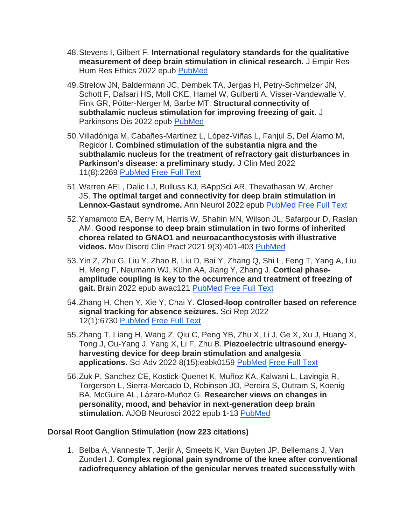- 48.Stevens I, Gilbert F. **International regulatory standards for the qualitative measurement of deep brain stimulation in clinical research.** J Empir Res Hum Res Ethics 2022 epub [PubMed](https://www.wikistim.org/?nltr=NDc7MjUxO2h0dHBzOi8vcHVibWVkLm5jYmkubmxtLm5paC5nb3YvMzU0MjIxNDk7OzYwNWM1ZjQyMTczZWY4YTk0NjBlOGVjYjRiNzI3NmJl)
- 49.Strelow JN, Baldermann JC, Dembek TA, Jergas H, Petry-Schmelzer JN, Schott F, Dafsari HS, Moll CKE, Hamel W, Gulberti A, Visser-Vandewalle V, Fink GR, Pötter-Nerger M, Barbe MT. **Structural connectivity of subthalamic nucleus stimulation for improving freezing of gait.** J Parkinsons Dis 2022 epub [PubMed](https://www.wikistim.org/?nltr=NDc7MjUxO2h0dHBzOi8vcHVibWVkLm5jYmkubmxtLm5paC5nb3YvMzU0MzEyNjI7OzM5MjQwNTRiNTFkNGY3MjhiNzNiNmZmOWU0M2ViNTFj)
- 50.Villadóniga M, Cabañes-Martínez L, López-Viñas L, Fanjul S, Del Álamo M, Regidor I. **Combined stimulation of the substantia nigra and the subthalamic nucleus for the treatment of refractory gait disturbances in Parkinson's disease: a preliminary study.** J Clin Med 2022 11(8):2269 [PubMed](https://www.wikistim.org/?nltr=NDc7MjUxO2h0dHBzOi8vcHVibWVkLm5jYmkubmxtLm5paC5nb3YvMzU0NTYzNjI7O2VlYjVkMDc4NzkxYmNmZjY2NWU0MTRhNGU0YjU3NDFm) [Free Full Text](https://www.wikistim.org/?nltr=NDc7MjUxO2h0dHBzOi8vd3d3Lm5jYmkubmxtLm5paC5nb3YvcG1jL2FydGljbGVzL1BNQzkwMjcxODcvcGRmL2pjbS0xMS0wMjI2OS5wZGY7O2Y3NmE1OGQ4NjBhOGY5NGMzNzYxOTNiMWE0MDQ2ODA2)
- 51.Warren AEL, Dalic LJ, Bulluss KJ, BAppSci AR, Thevathasan W, Archer JS. **The optimal target and connectivity for deep brain stimulation in Lennox-Gastaut syndrome.** Ann Neurol 2022 epub [PubMed](https://www.wikistim.org/?nltr=NDc7MjUxO2h0dHBzOi8vcHVibWVkLm5jYmkubmxtLm5paC5nb3YvMzU0MjkwNDU7OzVmNTcyOWY3MzcwYzMzNzhiNGVlNzIxODNlNzAwMmFi) [Free Full Text](https://www.wikistim.org/?nltr=NDc7MjUxO2h0dHBzOi8vb25saW5lbGlicmFyeS53aWxleS5jb20vZG9pL2VwZGYvMTAuMTAwMi9hbmEuMjYzNjg7O2M0YzNiNTU1M2VhMTMxYTQ0N2ZkOTFiOThlOWNlMjBi)
- 52.Yamamoto EA, Berry M, Harris W, Shahin MN, Wilson JL, Safarpour D, Raslan AM. **Good response to deep brain stimulation in two forms of inherited chorea related to GNAO1 and neuroacanthocystosis with illustrative videos.** Mov Disord Clin Pract 2021 9(3):401-403 [PubMed](https://www.wikistim.org/?nltr=NDc7MjUxO2h0dHBzOi8vcHVibWVkLm5jYmkubmxtLm5paC5nb3YvMzU0MDI2NDg7OzFiOTdiMmVhMmU3MjQxMmNlNDVkZDNmN2I5Y2UxMzNh)
- 53.Yin Z, Zhu G, Liu Y, Zhao B, Liu D, Bai Y, Zhang Q, Shi L, Feng T, Yang A, Liu H, Meng F, Neumann WJ, Kühn AA, Jiang Y, Zhang J. **Cortical phaseamplitude coupling is key to the occurrence and treatment of freezing of gait.** Brain 2022 epub awac121 [PubMed](https://www.wikistim.org/?nltr=NDc7MjUxO2h0dHBzOi8vcHVibWVkLm5jYmkubmxtLm5paC5nb3YvMzU0NDEyMzE7OzgzNmNjYmU5YjFiZWFiMTNkMmMzOGE1OWI0MWRkNTM2) [Free Full Text](https://www.wikistim.org/?nltr=NDc7MjUxO2h0dHBzOi8vYWNhZGVtaWMub3VwLmNvbS9icmFpbi9hZHZhbmNlLWFydGljbGUvZG9pLzEwLjEwOTMvYnJhaW4vYXdhYzEyMS82NTcxMDgxP2xvZ2luPWZhbHNlOztiYTUwZTk2MjQ5ZmEyOTEzZWZjYzkwMTg1MTczMGI0NA%3D%3D)
- 54.Zhang H, Chen Y, Xie Y, Chai Y. **Closed-loop controller based on reference signal tracking for absence seizures.** Sci Rep 2022 12(1):6730 [PubMed](https://www.wikistim.org/?nltr=NDc7MjUxO2h0dHBzOi8vcHVibWVkLm5jYmkubmxtLm5paC5nb3YvMzU0Njg5ODg7OzQ3ZjRmYWMyNGVhZWVkZGIyMmJjODYwMTVhNzFiOGMx) [Free Full Text](https://www.wikistim.org/?nltr=NDc7MjUxO2h0dHBzOi8vd3d3Lm5jYmkubmxtLm5paC5nb3YvcG1jL2FydGljbGVzL1BNQzkwMzg3NTEvcGRmLzQxNTk4XzIwMjJfQXJ0aWNsZV8xMDgwMy5wZGY7O2NiYmYyZWFlM2QwNGUwYmNkMzcwY2VkM2EyZDIwMDUz)
- 55.Zhang T, Liang H, Wang Z, Qiu C, Peng YB, Zhu X, Li J, Ge X, Xu J, Huang X, Tong J, Ou-Yang J, Yang X, Li F, Zhu B. **Piezoelectric ultrasound energyharvesting device for deep brain stimulation and analgesia applications.** Sci Adv 2022 8(15):eabk0159 [PubMed](https://www.wikistim.org/?nltr=NDc7MjUxO2h0dHBzOi8vcHVibWVkLm5jYmkubmxtLm5paC5nb3YvMzU0MjcxNTY7O2U5ZDRhMGY3MjEyNWQ4YjIwZGUwN2VhZjIyYWY3ZGVi) [Free Full Text](https://www.wikistim.org/?nltr=NDc7MjUxO2h0dHBzOi8vd3d3Lm5jYmkubmxtLm5paC5nb3YvcG1jL2FydGljbGVzL1BNQzkwMTI0NjgvcGRmL3NjaWFkdi5hYmswMTU5LnBkZjs7ZGZlOTRlZmM3YWRjODAzZTQ1OGNlYzNiNzUzNzVmM2E%3D)
- 56.Zuk P, Sanchez CE, Kostick-Quenet K, Muñoz KA, Kalwani L, Lavingia R, Torgerson L, Sierra-Mercado D, Robinson JO, Pereira S, Outram S, Koenig BA, McGuire AL, Lázaro-Muñoz G. **Researcher views on changes in personality, mood, and behavior in next-generation deep brain stimulation.** AJOB Neurosci 2022 epub 1-13 [PubMed](https://www.wikistim.org/?nltr=NDc7MjUxO2h0dHBzOi8vcHVibWVkLm5jYmkubmxtLm5paC5nb3YvMzU0MzU3OTU7O2M5ZDA0ZjZlYWU0OGE1ODhlZDFlZjhjYTRlOTc5YjMz)

#### **Dorsal Root Ganglion Stimulation (now 223 citations)**

1. Belba A, Vanneste T, Jerjir A, Smeets K, Van Buyten JP, Bellemans J, Van Zundert J. **Complex regional pain syndrome of the knee after conventional radiofrequency ablation of the genicular nerves treated successfully with**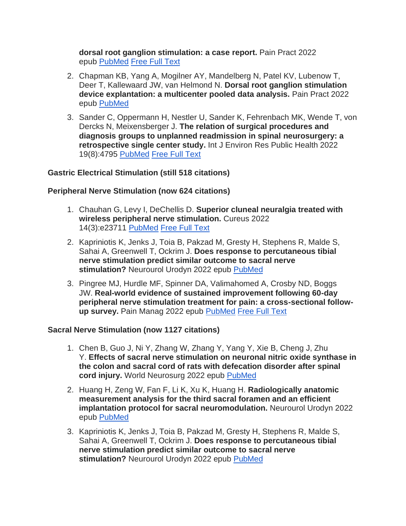**dorsal root ganglion stimulation: a case report.** Pain Pract 2022 epub [PubMed](https://www.wikistim.org/?nltr=NDc7MjUxO2h0dHBzOi8vcHVibWVkLm5jYmkubmxtLm5paC5nb3YvMzU0ODUyOTg7O2ZmMmQ4MDRmMDAxMTI4NDcxZTRkNzlhZjY1OWRhYTgy) [Free Full Text](https://www.wikistim.org/?nltr=NDc7MjUxO2h0dHBzOi8vb25saW5lbGlicmFyeS53aWxleS5jb20vZG9pL2VwZGYvMTAuMTExMS9wYXByLjEzMTE1OzsyODMwYzc3ZTRmYjRhZjhlMzllNDg0ZDdjYWQ3MzQ4MA%3D%3D)

- 2. Chapman KB, Yang A, Mogilner AY, Mandelberg N, Patel KV, Lubenow T, Deer T, Kallewaard JW, van Helmond N. **Dorsal root ganglion stimulation device explantation: a multicenter pooled data analysis.** Pain Pract 2022 epub [PubMed](https://www.wikistim.org/?nltr=NDc7MjUxO2h0dHBzOi8vcHVibWVkLm5jYmkubmxtLm5paC5nb3YvMzU0MjkzNjQ7O2Q3ZDVlYmFiNjdmNzQ0MTAxZDE1NzY4NTYxODRmYjY5)
- 3. Sander C, Oppermann H, Nestler U, Sander K, Fehrenbach MK, Wende T, von Dercks N, Meixensberger J. **The relation of surgical procedures and diagnosis groups to unplanned readmission in spinal neurosurgery: a retrospective single center study.** Int J Environ Res Public Health 2022 19(8):4795 [PubMed](https://www.wikistim.org/?nltr=NDc7MjUxO2h0dHBzOi8vcHVibWVkLm5jYmkubmxtLm5paC5nb3YvMzU0NTc2NjI7O2UwNmY0YzY3N2Y4MGFjYmU1YWE3NzdmM2NiY2Q4OTBm) [Free Full Text](https://www.wikistim.org/?nltr=NDc7MjUxO2h0dHBzOi8vd3d3Lm5jYmkubmxtLm5paC5nb3YvcG1jL2FydGljbGVzL1BNQzkwMjg3NjgvcGRmL2lqZXJwaC0xOS0wNDc5NS5wZGY7OzI3YjdmNjJmZTlkMTJhY2YwZWRiYzRlOGVkNjY5NTE2)

# **Gastric Electrical Stimulation (still 518 citations)**

# **Peripheral Nerve Stimulation (now 624 citations)**

- 1. Chauhan G, Levy I, DeChellis D. **Superior cluneal neuralgia treated with wireless peripheral nerve stimulation.** Cureus 2022 14(3):e23711 [PubMed](https://www.wikistim.org/?nltr=NDc7MjUxO2h0dHBzOi8vcHVibWVkLm5jYmkubmxtLm5paC5nb3YvMzU1MDk5OTc7O2FlYzBhOTc1Yjg0NmVlOTE2ZmYyOTM0NjQ5MjA2OTJh) [Free Full Text](https://www.wikistim.org/?nltr=NDc7MjUxO2h0dHBzOi8vd3d3Lm5jYmkubmxtLm5paC5nb3YvcG1jL2FydGljbGVzL1BNQzkwNjA3NTAvcGRmL2N1cmV1cy0wMDE0LTAwMDAwMDIzNzExLnBkZjs7NWNiMGVhOGU2Y2FkZWJmODc5MDQwMDE3YjZjMmZlYzk%3D)
- 2. Kapriniotis K, Jenks J, Toia B, Pakzad M, Gresty H, Stephens R, Malde S, Sahai A, Greenwell T, Ockrim J. **Does response to percutaneous tibial nerve stimulation predict similar outcome to sacral nerve stimulation?** Neurourol Urodyn 2022 epub [PubMed](https://www.wikistim.org/?nltr=NDc7MjUxO2h0dHBzOi8vcHVibWVkLm5jYmkubmxtLm5paC5nb3YvMzU0ODE3MTQ7OzBiNWMwM2JjZDhjNDE5MjVlMmZmMTg3MTFmYzY1M2Jl)
- 3. Pingree MJ, Hurdle MF, Spinner DA, Valimahomed A, Crosby ND, Boggs JW. **Real-world evidence of sustained improvement following 60-day peripheral nerve stimulation treatment for pain: a cross-sectional followup survey.** Pain Manag 2022 epub [PubMed](https://www.wikistim.org/?nltr=NDc7MjUxO2h0dHBzOi8vcHVibWVkLm5jYmkubmxtLm5paC5nb3YvMzU1MTAzMzM7O2VlMDMzMWFkZTA4MGI3YWNjZTVhZThmZDU0YmFmMmM4) [Free Full Text](https://www.wikistim.org/?nltr=NDc7MjUxO2h0dHBzOi8vd3d3LmZ1dHVyZW1lZGljaW5lLmNvbS9kb2kvZXB1Yi8xMC4yMjE3L3BtdC0yMDIyLTAwMDU7O2E1NjMyYjE5MjZiMDhiNjU1NWRiZjcwODljZGFjZDhj)

#### **Sacral Nerve Stimulation (now 1127 citations)**

- 1. Chen B, Guo J, Ni Y, Zhang W, Zhang Y, Yang Y, Xie B, Cheng J, Zhu Y. **Effects of sacral nerve stimulation on neuronal nitric oxide synthase in the colon and sacral cord of rats with defecation disorder after spinal cord injury.** World Neurosurg 2022 epub [PubMed](https://www.wikistim.org/?nltr=NDc7MjUxO2h0dHBzOi8vcHVibWVkLm5jYmkubmxtLm5paC5nb3YvMzU0NzI2NDQ7OzY2ZTUwYjA3MzE5YTkwYjA2NzE2ZjBhYzRiN2I2MTAw)
- 2. Huang H, Zeng W, Fan F, Li K, Xu K, Huang H. **Radiologically anatomic measurement analysis for the third sacral foramen and an efficient implantation protocol for sacral neuromodulation.** Neurourol Urodyn 2022 epub [PubMed](https://www.wikistim.org/?nltr=NDc7MjUxO2h0dHBzOi8vcHVibWVkLm5jYmkubmxtLm5paC5nb3YvMzU0Mzg4MTQ7O2YzNjYwYzJhMDdkYzA4Y2Y4MDAxMDI5ZjQwZjczMzQ3)
- 3. Kapriniotis K, Jenks J, Toia B, Pakzad M, Gresty H, Stephens R, Malde S, Sahai A, Greenwell T, Ockrim J. **Does response to percutaneous tibial nerve stimulation predict similar outcome to sacral nerve stimulation?** Neurourol Urodyn 2022 epub [PubMed](https://www.wikistim.org/?nltr=NDc7MjUxO2h0dHBzOi8vcHVibWVkLm5jYmkubmxtLm5paC5nb3YvMzU0ODE3MTQ7OzBiNWMwM2JjZDhjNDE5MjVlMmZmMTg3MTFmYzY1M2Jl)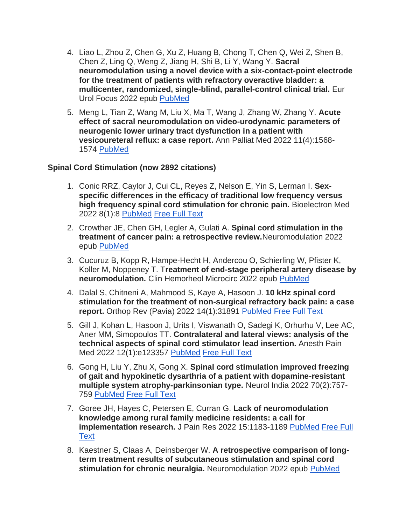- 4. Liao L, Zhou Z, Chen G, Xu Z, Huang B, Chong T, Chen Q, Wei Z, Shen B, Chen Z, Ling Q, Weng Z, Jiang H, Shi B, Li Y, Wang Y. **Sacral neuromodulation using a novel device with a six-contact-point electrode for the treatment of patients with refractory overactive bladder: a multicenter, randomized, single-blind, parallel-control clinical trial.** Eur Urol Focus 2022 epub [PubMed](https://www.wikistim.org/?nltr=NDc7MjUxO2h0dHBzOi8vcHVibWVkLm5jYmkubmxtLm5paC5nb3YvMzU1MjU4Mzc7O2M2OTBjZTRmNWM0YjZlYTRjNzM4YjgyOGYyMTQwM2Jj)
- 5. Meng L, Tian Z, Wang M, Liu X, Ma T, Wang J, Zhang W, Zhang Y. **Acute effect of sacral neuromodulation on video-urodynamic parameters of neurogenic lower urinary tract dysfunction in a patient with vesicoureteral reflux: a case report.** Ann Palliat Med 2022 11(4):1568- 1574 [PubMed](https://www.wikistim.org/?nltr=NDc7MjUxO2h0dHBzOi8vcHVibWVkLm5jYmkubmxtLm5paC5nb3YvMzU1MjM3NTg7OzZhMTlkYmY0ODMzNjBjMTcwZjI3NjhkYmM3YTdhYWZj)

# **Spinal Cord Stimulation (now 2892 citations)**

- 1. Conic RRZ, Caylor J, Cui CL, Reyes Z, Nelson E, Yin S, Lerman I. **Sexspecific differences in the efficacy of traditional low frequency versus high frequency spinal cord stimulation for chronic pain.** Bioelectron Med 2022 8(1):8 [PubMed](https://www.wikistim.org/?nltr=NDc7MjUxO2h0dHBzOi8vcHVibWVkLm5jYmkubmxtLm5paC5nb3YvMzU0ODQ1Nzg7OzAxNmJhYTU5NTdkYWY4ZGZiZDdkOWIxZjBmYTE0MGI0) [Free Full Text](https://www.wikistim.org/?nltr=NDc7MjUxO2h0dHBzOi8vd3d3Lm5jYmkubmxtLm5paC5nb3YvcG1jL2FydGljbGVzL1BNQzkwNTI2NDkvcGRmLzQyMjM0XzIwMjJfQXJ0aWNsZV85MC5wZGY7O2IzMWY4MGQzOTM2NDdhZDllOGUzNmViNjYxZjZmMWJk)
- 2. Crowther JE, Chen GH, Legler A, Gulati A. **Spinal cord stimulation in the treatment of cancer pain: a retrospective review.**Neuromodulation 2022 epub [PubMed](https://www.wikistim.org/?nltr=NDc7MjUxO2h0dHBzOi8vcHVibWVkLm5jYmkubmxtLm5paC5nb3YvMzU0MTA3NzA7OzE4OGEyNTAwNDMzYjE4YzU4NjJmNmNjMWJlNGY2NjBk)
- 3. Cucuruz B, Kopp R, Hampe-Hecht H, Andercou O, Schierling W, Pfister K, Koller M, Noppeney T. T**reatment of end-stage peripheral artery disease by neuromodulation.** Clin Hemorheol Microcirc 2022 epub [PubMed](https://www.wikistim.org/?nltr=NDc7MjUxO2h0dHBzOi8vcHVibWVkLm5jYmkubmxtLm5paC5nb3YvMzU0NjY5MzE7O2ZlMjFjN2RkMjI1ZjlhYWYyZDZkZjIzZDNlODJjYzU1)
- 4. Dalal S, Chitneni A, Mahmood S, Kaye A, Hasoon J. **10 kHz spinal cord stimulation for the treatment of non-surgical refractory back pain: a case report.** Orthop Rev (Pavia) 2022 14(1):31891 [PubMed](https://www.wikistim.org/?nltr=NDc7MjUxO2h0dHBzOi8vcHVibWVkLm5jYmkubmxtLm5paC5nb3YvMzU0ODA5ODU7OzU2YjUzZDg2ZTFkYTJlMWJiNWUyZDZiNWY5NGRkYTFl) [Free Full Text](https://www.wikistim.org/?nltr=NDc7MjUxO2h0dHBzOi8vd3d3Lm5jYmkubmxtLm5paC5nb3YvcG1jL2FydGljbGVzL1BNQzkwMzc4NTMvcGRmL29ydGhvcGVkaWNyZXZpZXdzXzIwMjJfMTRfMV8zMTg5MS5wZGY7O2MyYTc0YjFmZTE3ODc4YjFiZDc0YjdiNmI1OTQwMTc5)
- 5. Gill J, Kohan L, Hasoon J, Urits I, Viswanath O, Sadegi K, Orhurhu V, Lee AC, Aner MM, Simopoulos TT. **Contralateral and lateral views: analysis of the technical aspects of spinal cord stimulator lead insertion.** Anesth Pain Med 2022 12(1):e123357 [PubMed](https://www.wikistim.org/?nltr=NDc7MjUxO2h0dHBzOi8vcHVibWVkLm5jYmkubmxtLm5paC5nb3YvMzU0MzMzODc7OzM2MWNkNzAyZTY1MmYwMTE0NDlmZThmNDdjZDRjNzMy) [Free Full Text](https://www.wikistim.org/?nltr=NDc7MjUxO2h0dHBzOi8vd3d3Lm5jYmkubmxtLm5paC5nb3YvcG1jL2FydGljbGVzL1BNQzg5OTU4NzEvcGRmL2FhcG0tMTItMS0xMjMzNTcucGRmOzthZWYyYzYyM2QwYWMyYmY3MjM4NmM0YzFjYjUxNDY0Ng%3D%3D)
- 6. Gong H, Liu Y, Zhu X, Gong X. **Spinal cord stimulation improved freezing of gait and hypokinetic dysarthria of a patient with dopamine-resistant multiple system atrophy-parkinsonian type.** Neurol India 2022 70(2):757- 759 [PubMed](https://www.wikistim.org/?nltr=NDc7MjUxO2h0dHBzOi8vcHVibWVkLm5jYmkubmxtLm5paC5nb3YvMzU1MzI2NTM7O2IxMjg1MDIzMTM3MWVkZDU5NDdiMWVjNGRmNjIzY2Ex) [Free Full Text](https://www.wikistim.org/?nltr=NDc7MjUxO2h0dHBzOi8vbmV1cm9sb2d5aW5kaWEuY29tL2FydGljbGUuYXNwP2lzc249MDAyOC0zODg2O3llYXI9MjAyMjt2b2x1bWU9NzA7aXNzdWU9MjtzcGFnZT03NTc7ZXBhZ2U9NzU5O2F1bGFzdD1Hb25nOzthOTU4ZjVjODNlZTYwOGFkOWY3ZDRhNTVkOWI3NDc0Mg%3D%3D)
- 7. Goree JH, Hayes C, Petersen E, Curran G. **Lack of neuromodulation knowledge among rural family medicine residents: a call for implementation research.** J Pain Res 2022 15:1183-1189 [PubMed](https://www.wikistim.org/?nltr=NDc7MjUxO2h0dHBzOi8vcHVibWVkLm5jYmkubmxtLm5paC5nb3YvMzU0Nzg5OTg7O2UxZTE0NDI2MzM1M2M0ZGI1NTQxZTkyZDM5YjU2MzQ1) Free Full **[Text](https://www.wikistim.org/?nltr=NDc7MjUxO2h0dHBzOi8vd3d3Lm5jYmkubmxtLm5paC5nb3YvcG1jL2FydGljbGVzL1BNQzkwMzc4NDUvcGRmL2pwci0xNS0xMTgzLnBkZjs7MTMxYWJhYTBjOTA5N2UzMTA3ZDM5M2QyY2Y3YjA4NDc%3D)**
- 8. Kaestner S, Claas A, Deinsberger W. **A retrospective comparison of longterm treatment results of subcutaneous stimulation and spinal cord stimulation for chronic neuralgia.** Neuromodulation 2022 epub [PubMed](https://www.wikistim.org/?nltr=NDc7MjUxO2h0dHBzOi8vcHVibWVkLm5jYmkubmxtLm5paC5nb3YvMzU0MTA3Njg7OzEyODJiYjgzOGY2MmE5MTgxM2U0ZTk3NjZlZTcyZmQy)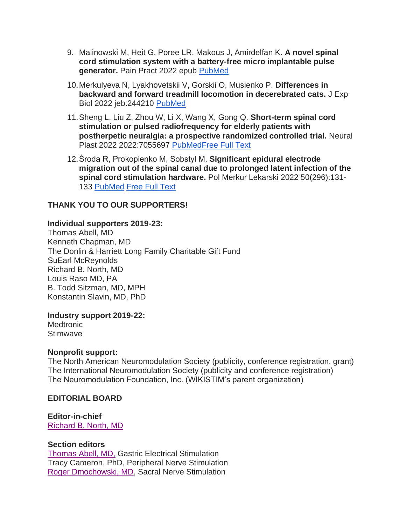- 9. Malinowski M, Heit G, Poree LR, Makous J, Amirdelfan K. **A novel spinal cord stimulation system with a battery-free micro implantable pulse generator.** Pain Pract 2022 epub [PubMed](https://www.wikistim.org/?nltr=NDc7MjUxO2h0dHBzOi8vcHVibWVkLm5jYmkubmxtLm5paC5nb3YvMzU1MDkxMTY7O2E0ZWY4NmNhNzg2MWUwMzVjN2JjYmVkOGVlY2FmNWFi)
- 10.Merkulyeva N, Lyakhovetskii V, Gorskii O, Musienko P. **Differences in backward and forward treadmill locomotion in decerebrated cats.** J Exp Biol 2022 jeb.244210 [PubMed](https://www.wikistim.org/?nltr=NDc7MjUxO2h0dHBzOi8vcHVibWVkLm5jYmkubmxtLm5paC5nb3YvMzU0Mzg3NDc7OzBhZGQxM2Y5ODJkMDQ4ZDZiYWI2NDk4NDIyNzAyNWNl)
- 11.Sheng L, Liu Z, Zhou W, Li X, Wang X, Gong Q. **Short-term spinal cord stimulation or pulsed radiofrequency for elderly patients with postherpetic neuralgia: a prospective randomized controlled trial.** Neural Plast 2022 2022:7055697 [PubMed](https://www.wikistim.org/?nltr=NDc7MjUxO2h0dHBzOi8vcHVibWVkLm5jYmkubmxtLm5paC5nb3YvMzU1Mjk0NTM7O2RlMjc3YWI1OWQ4YjViNzU4ZGQyNjU5YTdjMzAwODE1)[Free Full Text](https://www.wikistim.org/?nltr=NDc7MjUxO2h0dHBzOi8vZG93bmxvYWRzLmhpbmRhd2kuY29tL2pvdXJuYWxzL25wLzIwMjIvNzA1NTY5Ny5wZGY7OzIwYzBlNmRkOTNmNzE5MzE4NDhjMDdmODYxYjYxN2E0)
- 12.Środa R, Prokopienko M, Sobstyl M. **Significant epidural electrode migration out of the spinal canal due to prolonged latent infection of the spinal cord stimulation hardware.** Pol Merkur Lekarski 2022 50(296):131- 133 [PubMed](https://www.wikistim.org/?nltr=NDc7MjUxO2h0dHBzOi8vcHVibWVkLm5jYmkubmxtLm5paC5nb3YvMzU0MzYyNzg7O2Q0OGY1ZTQyZGNjZWJmMTYwM2Y2ZDZmYjlmMzUxN2I3) [Free Full Text](https://www.wikistim.org/?nltr=NDc7MjUxO2h0dHA6Ly9wbWwubWVkcHJlc3MuY29tLnBsL2VQVUJMSS9mcmVlL1BNTDI5Ni0xMzEucGRmOztlOWQ1MzUxYjk1NWRjOGMzYjQxZmFkOGI3OTA2OTYwOQ%3D%3D)

# **THANK YOU TO OUR SUPPORTERS!**

#### **Individual supporters 2019-23:**

Thomas Abell, MD Kenneth Chapman, MD The Donlin & Harriett Long Family Charitable Gift Fund SuEarl McReynolds Richard B. North, MD Louis Raso MD, PA B. Todd Sitzman, MD, MPH Konstantin Slavin, MD, PhD

**Industry support 2019-22:**

**Medtronic** Stimwave

#### **Nonprofit support:**

The North American Neuromodulation Society (publicity, conference registration, grant) The International Neuromodulation Society (publicity and conference registration) The Neuromodulation Foundation, Inc. (WIKISTIM's parent organization)

#### **EDITORIAL BOARD**

**Editor-in-chief** [Richard B.](https://www.wikistim.org/?nltr=NDc7MjUxO2h0dHBzOi8vd3d3Lndpa2lzdGltLm9yZy93cC1jb250ZW50L3VwbG9hZHMvMjAxOC8xMS9XSUtJU1RJTS1OZXdzbGV0dGVyLTU3LnBkZjs7ZmQ2MTc4YTJjMjM5ZmNkMWEyMzM2NjAxZTQ2NzI0NDQ%3D) North, MD

#### **Section editors**

Thomas [Abell, MD,](https://www.wikistim.org/?nltr=NDc7MjUxO2h0dHBzOi8vd3d3Lndpa2lzdGltLm9yZy93cC1jb250ZW50L3VwbG9hZHMvMjAxOC8xMS9XSUtJU1RJTS1OZXdzbGV0dGVyLTYxLnBkZjs7NTFkZmQzNGExMDQwOWU4YjVhOGMzMmM4ZDZhMDNjZmM%3D) Gastric Electrical Stimulation Tracy Cameron, PhD, Peripheral Nerve Stimulation [Roger Dmochowski, MD,](https://www.wikistim.org/?nltr=NDc7MjUxO2h0dHBzOi8vd3d3Lndpa2lzdGltLm9yZy93cC1jb250ZW50L3VwbG9hZHMvMjAxOS8wMS9XSUtJU1RJTS1OZXdzbGV0dGVyLTYzLnBkZjs7OGIyYTA4MjBkYTA3OGJmMDQ5YWFmODU3ZjUyOTA4YjY%3D) Sacral Nerve Stimulation